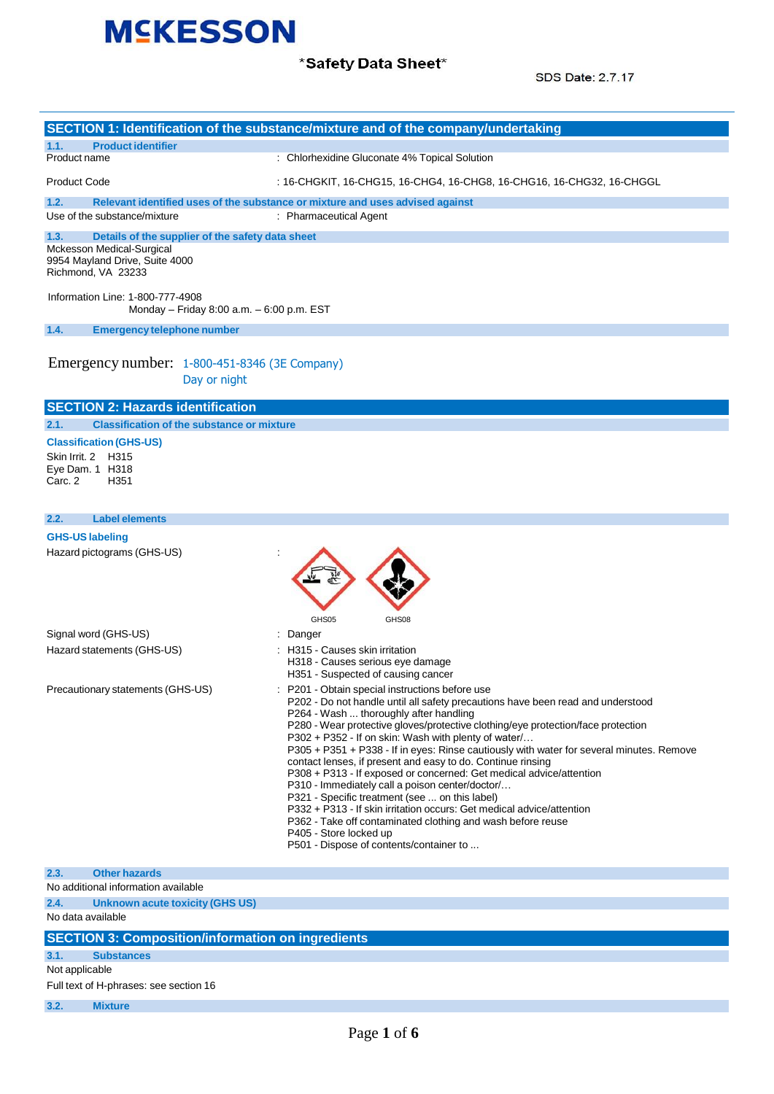

### \*Safety Data Sheet\*

SDS Date: 2.7.17

|                                                                                                                                               | SECTION 1: Identification of the substance/mixture and of the company/undertaking                                                                                                                                                                                                                                                                                                                                                                                                                                                                                                                                                                                                                                                                                                                                                                                            |
|-----------------------------------------------------------------------------------------------------------------------------------------------|------------------------------------------------------------------------------------------------------------------------------------------------------------------------------------------------------------------------------------------------------------------------------------------------------------------------------------------------------------------------------------------------------------------------------------------------------------------------------------------------------------------------------------------------------------------------------------------------------------------------------------------------------------------------------------------------------------------------------------------------------------------------------------------------------------------------------------------------------------------------------|
| 1.1.<br><b>Product identifier</b>                                                                                                             |                                                                                                                                                                                                                                                                                                                                                                                                                                                                                                                                                                                                                                                                                                                                                                                                                                                                              |
| Product name                                                                                                                                  | : Chlorhexidine Gluconate 4% Topical Solution                                                                                                                                                                                                                                                                                                                                                                                                                                                                                                                                                                                                                                                                                                                                                                                                                                |
| <b>Product Code</b>                                                                                                                           | : 16-CHGKIT, 16-CHG15, 16-CHG4, 16-CHG8, 16-CHG16, 16-CHG32, 16-CHGGL                                                                                                                                                                                                                                                                                                                                                                                                                                                                                                                                                                                                                                                                                                                                                                                                        |
| 1.2.<br>Use of the substance/mixture                                                                                                          | Relevant identified uses of the substance or mixture and uses advised against<br>: Pharmaceutical Agent                                                                                                                                                                                                                                                                                                                                                                                                                                                                                                                                                                                                                                                                                                                                                                      |
| 1.3.<br>Details of the supplier of the safety data sheet<br>Mckesson Medical-Surgical<br>9954 Mayland Drive, Suite 4000<br>Richmond, VA 23233 |                                                                                                                                                                                                                                                                                                                                                                                                                                                                                                                                                                                                                                                                                                                                                                                                                                                                              |
| Information Line: 1-800-777-4908<br>Monday - Friday 8:00 a.m. - 6:00 p.m. EST                                                                 |                                                                                                                                                                                                                                                                                                                                                                                                                                                                                                                                                                                                                                                                                                                                                                                                                                                                              |
| 1.4.<br><b>Emergency telephone number</b>                                                                                                     |                                                                                                                                                                                                                                                                                                                                                                                                                                                                                                                                                                                                                                                                                                                                                                                                                                                                              |
| Emergency number: 1-800-451-8346 (3E Company)<br>Day or night                                                                                 |                                                                                                                                                                                                                                                                                                                                                                                                                                                                                                                                                                                                                                                                                                                                                                                                                                                                              |
| <b>SECTION 2: Hazards identification</b>                                                                                                      |                                                                                                                                                                                                                                                                                                                                                                                                                                                                                                                                                                                                                                                                                                                                                                                                                                                                              |
| <b>Classification of the substance or mixture</b><br>2.1.                                                                                     |                                                                                                                                                                                                                                                                                                                                                                                                                                                                                                                                                                                                                                                                                                                                                                                                                                                                              |
| <b>Classification (GHS-US)</b><br>Skin Irrit. 2 H315<br>Eye Dam. 1 H318<br>Carc. 2<br>H <sub>351</sub>                                        |                                                                                                                                                                                                                                                                                                                                                                                                                                                                                                                                                                                                                                                                                                                                                                                                                                                                              |
| 2.2.<br><b>Label elements</b>                                                                                                                 |                                                                                                                                                                                                                                                                                                                                                                                                                                                                                                                                                                                                                                                                                                                                                                                                                                                                              |
| <b>GHS-US labeling</b>                                                                                                                        |                                                                                                                                                                                                                                                                                                                                                                                                                                                                                                                                                                                                                                                                                                                                                                                                                                                                              |
| Signal word (GHS-US)                                                                                                                          | GHS05<br>GHS08<br>: Danger                                                                                                                                                                                                                                                                                                                                                                                                                                                                                                                                                                                                                                                                                                                                                                                                                                                   |
| Hazard statements (GHS-US)                                                                                                                    | : H315 - Causes skin irritation<br>H318 - Causes serious eye damage<br>H351 - Suspected of causing cancer                                                                                                                                                                                                                                                                                                                                                                                                                                                                                                                                                                                                                                                                                                                                                                    |
| Precautionary statements (GHS-US)                                                                                                             | : P201 - Obtain special instructions before use<br>P202 - Do not handle until all safety precautions have been read and understood<br>P264 - Wash  thoroughly after handling<br>P280 - Wear protective gloves/protective clothing/eye protection/face protection<br>P302 + P352 - If on skin: Wash with plenty of water/<br>P305 + P351 + P338 - If in eyes: Rinse cautiously with water for several minutes. Remove<br>contact lenses, if present and easy to do. Continue rinsing<br>P308 + P313 - If exposed or concerned: Get medical advice/attention<br>P310 - Immediately call a poison center/doctor/<br>P321 - Specific treatment (see  on this label)<br>P332 + P313 - If skin irritation occurs: Get medical advice/attention<br>P362 - Take off contaminated clothing and wash before reuse<br>P405 - Store locked up<br>P501 - Dispose of contents/container to |
| 2.3.<br><b>Other hazards</b>                                                                                                                  |                                                                                                                                                                                                                                                                                                                                                                                                                                                                                                                                                                                                                                                                                                                                                                                                                                                                              |
| No additional information available<br>2.4.<br><b>Unknown acute toxicity (GHS US)</b><br>No data available                                    |                                                                                                                                                                                                                                                                                                                                                                                                                                                                                                                                                                                                                                                                                                                                                                                                                                                                              |
| <b>SECTION 3: Composition/information on ingredients</b>                                                                                      |                                                                                                                                                                                                                                                                                                                                                                                                                                                                                                                                                                                                                                                                                                                                                                                                                                                                              |
| 3.1.<br><b>Substances</b>                                                                                                                     |                                                                                                                                                                                                                                                                                                                                                                                                                                                                                                                                                                                                                                                                                                                                                                                                                                                                              |
| Not applicable<br>Full text of H-phrases: see section 16                                                                                      |                                                                                                                                                                                                                                                                                                                                                                                                                                                                                                                                                                                                                                                                                                                                                                                                                                                                              |
| 3.2.<br><b>Mixture</b>                                                                                                                        |                                                                                                                                                                                                                                                                                                                                                                                                                                                                                                                                                                                                                                                                                                                                                                                                                                                                              |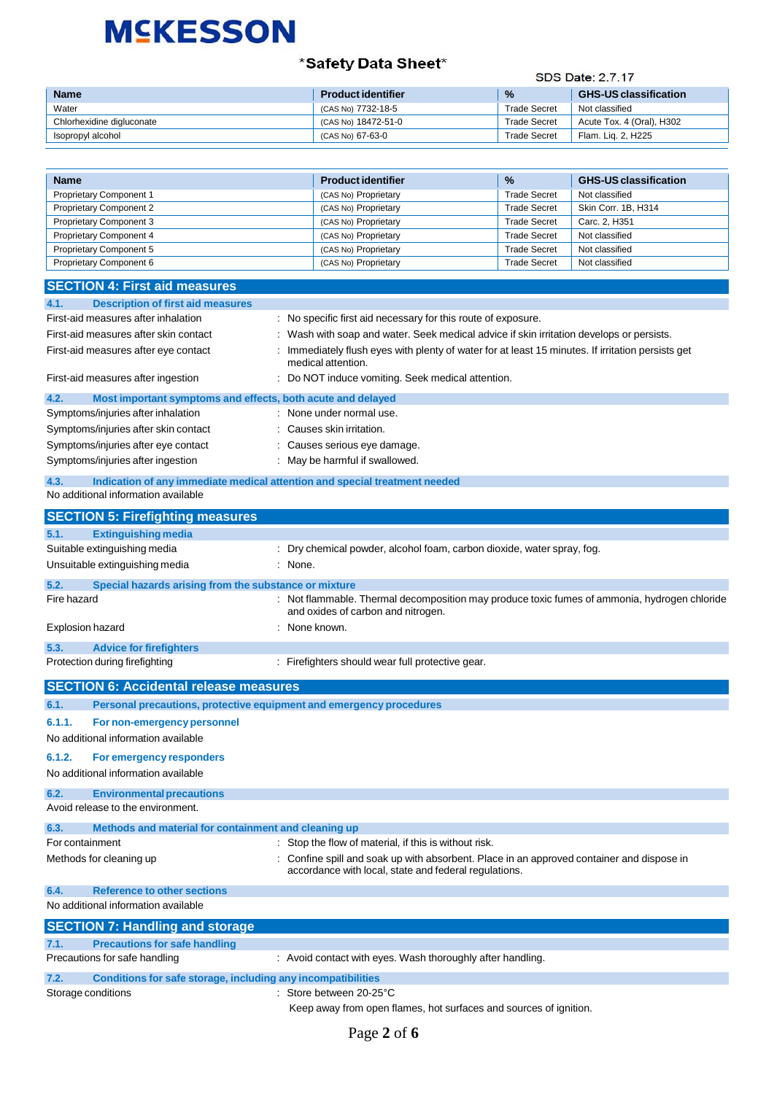### \*Safety Data Sheet\*

#### SDS Date: 2.7.17

| <b>Name</b>               | <b>Product identifier</b> | $\frac{9}{6}$       | <b>GHS-US classification</b> |
|---------------------------|---------------------------|---------------------|------------------------------|
| Water                     | (CAS No) 7732-18-5        | <b>Trade Secret</b> | Not classified               |
| Chlorhexidine digluconate | (CAS No) 18472-51-0       | <b>Trade Secret</b> | Acute Tox. 4 (Oral), H302    |
| Isopropyl alcohol         | (CAS No) 67-63-0          | <b>Trade Secret</b> | Flam. Lig. 2, H225           |

| Name                                                                               | <b>Product identifier</b>                                                                                                                          | %                                          | <b>GHS-US classification</b>     |
|------------------------------------------------------------------------------------|----------------------------------------------------------------------------------------------------------------------------------------------------|--------------------------------------------|----------------------------------|
| <b>Proprietary Component 1</b>                                                     | (CAS No) Proprietary                                                                                                                               | <b>Trade Secret</b>                        | Not classified                   |
| <b>Proprietary Component 2</b>                                                     | (CAS No) Proprietary                                                                                                                               | <b>Trade Secret</b>                        | Skin Corr. 1B, H314              |
| Proprietary Component 3                                                            | (CAS No) Proprietary                                                                                                                               | <b>Trade Secret</b>                        | Carc. 2, H351                    |
| Proprietary Component 4<br>Proprietary Component 5                                 | (CAS No) Proprietary<br>(CAS No) Proprietary                                                                                                       | <b>Trade Secret</b><br><b>Trade Secret</b> | Not classified<br>Not classified |
| Proprietary Component 6                                                            | (CAS No) Proprietary                                                                                                                               | <b>Trade Secret</b>                        | Not classified                   |
|                                                                                    |                                                                                                                                                    |                                            |                                  |
| <b>SECTION 4: First aid measures</b>                                               |                                                                                                                                                    |                                            |                                  |
| <b>Description of first aid measures</b><br>4.1.                                   |                                                                                                                                                    |                                            |                                  |
| First-aid measures after inhalation                                                | : No specific first aid necessary for this route of exposure.                                                                                      |                                            |                                  |
| First-aid measures after skin contact                                              | : Wash with soap and water. Seek medical advice if skin irritation develops or persists.                                                           |                                            |                                  |
| First-aid measures after eye contact                                               | Immediately flush eyes with plenty of water for at least 15 minutes. If irritation persists get                                                    |                                            |                                  |
| First-aid measures after ingestion                                                 | medical attention.<br>Do NOT induce vomiting. Seek medical attention.                                                                              |                                            |                                  |
| 4.2.<br>Most important symptoms and effects, both acute and delayed                |                                                                                                                                                    |                                            |                                  |
| Symptoms/injuries after inhalation                                                 | : None under normal use.                                                                                                                           |                                            |                                  |
| Symptoms/injuries after skin contact                                               | Causes skin irritation.                                                                                                                            |                                            |                                  |
| Symptoms/injuries after eye contact                                                | : Causes serious eye damage.                                                                                                                       |                                            |                                  |
| Symptoms/injuries after ingestion                                                  | May be harmful if swallowed.                                                                                                                       |                                            |                                  |
| 4.3.<br>Indication of any immediate medical attention and special treatment needed |                                                                                                                                                    |                                            |                                  |
| No additional information available                                                |                                                                                                                                                    |                                            |                                  |
| <b>SECTION 5: Firefighting measures</b>                                            |                                                                                                                                                    |                                            |                                  |
| 5.1.<br><b>Extinguishing media</b>                                                 |                                                                                                                                                    |                                            |                                  |
| Suitable extinguishing media                                                       | : Dry chemical powder, alcohol foam, carbon dioxide, water spray, fog.                                                                             |                                            |                                  |
| Unsuitable extinguishing media<br>: None.                                          |                                                                                                                                                    |                                            |                                  |
|                                                                                    |                                                                                                                                                    |                                            |                                  |
| Special hazards arising from the substance or mixture<br>5.2.<br>Fire hazard       |                                                                                                                                                    |                                            |                                  |
|                                                                                    | : Not flammable. Thermal decomposition may produce toxic fumes of ammonia, hydrogen chloride<br>and oxides of carbon and nitrogen.                 |                                            |                                  |
| Explosion hazard                                                                   | None known.                                                                                                                                        |                                            |                                  |
| 5.3.<br><b>Advice for firefighters</b>                                             |                                                                                                                                                    |                                            |                                  |
| Protection during firefighting                                                     | : Firefighters should wear full protective gear.                                                                                                   |                                            |                                  |
| <b>SECTION 6: Accidental release measures</b>                                      |                                                                                                                                                    |                                            |                                  |
| Personal precautions, protective equipment and emergency procedures<br>6.1.        |                                                                                                                                                    |                                            |                                  |
| 6.1.1.<br>For non-emergency personnel                                              |                                                                                                                                                    |                                            |                                  |
| No additional information available                                                |                                                                                                                                                    |                                            |                                  |
| 6.1.2.<br>For emergency responders                                                 |                                                                                                                                                    |                                            |                                  |
| No additional information available                                                |                                                                                                                                                    |                                            |                                  |
|                                                                                    |                                                                                                                                                    |                                            |                                  |
| 6.2.<br><b>Environmental precautions</b>                                           |                                                                                                                                                    |                                            |                                  |
| Avoid release to the environment.                                                  |                                                                                                                                                    |                                            |                                  |
| 6.3.<br>Methods and material for containment and cleaning up                       |                                                                                                                                                    |                                            |                                  |
| For containment                                                                    | : Stop the flow of material, if this is without risk.                                                                                              |                                            |                                  |
| Methods for cleaning up                                                            | : Confine spill and soak up with absorbent. Place in an approved container and dispose in<br>accordance with local, state and federal regulations. |                                            |                                  |
| 6.4.<br><b>Reference to other sections</b>                                         |                                                                                                                                                    |                                            |                                  |
| No additional information available                                                |                                                                                                                                                    |                                            |                                  |
| <b>SECTION 7: Handling and storage</b>                                             |                                                                                                                                                    |                                            |                                  |
| <b>Precautions for safe handling</b><br>7.1.                                       |                                                                                                                                                    |                                            |                                  |
| Precautions for safe handling                                                      | : Avoid contact with eyes. Wash thoroughly after handling.                                                                                         |                                            |                                  |
| 7.2.                                                                               |                                                                                                                                                    |                                            |                                  |
| Conditions for safe storage, including any incompatibilities<br>Storage conditions | : Store between 20-25°C                                                                                                                            |                                            |                                  |

Keep away from open flames, hot surfaces and sources of ignition.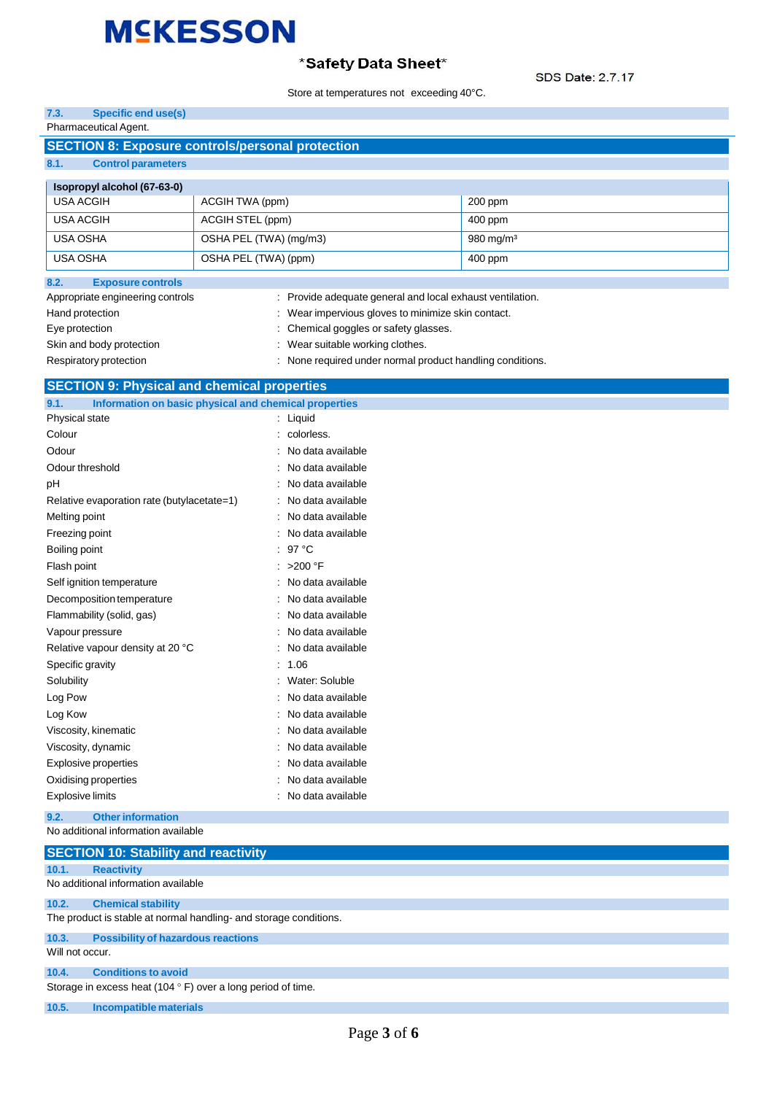### \*Safety Data Sheet\*

SDS Date: 2.7.17

|                                                                       |                                                | Store at temperatures not exceeding 40°C.                 | SDS Date: 2.7.17      |
|-----------------------------------------------------------------------|------------------------------------------------|-----------------------------------------------------------|-----------------------|
| <b>Specific end use(s)</b><br>7.3.                                    |                                                |                                                           |                       |
| Pharmaceutical Agent.                                                 |                                                |                                                           |                       |
| <b>SECTION 8: Exposure controls/personal protection</b>               |                                                |                                                           |                       |
| 8.1.<br><b>Control parameters</b>                                     |                                                |                                                           |                       |
| Isopropyl alcohol (67-63-0)                                           |                                                |                                                           |                       |
| <b>USA ACGIH</b>                                                      | ACGIH TWA (ppm)                                |                                                           | 200 ppm               |
| <b>USA ACGIH</b>                                                      | ACGIH STEL (ppm)                               |                                                           | 400 ppm               |
| <b>USA OSHA</b>                                                       |                                                |                                                           | 980 mg/m <sup>3</sup> |
| USA OSHA                                                              | OSHA PEL (TWA) (mg/m3)<br>OSHA PEL (TWA) (ppm) |                                                           | 400 ppm               |
| <b>Exposure controls</b><br>8.2.                                      |                                                |                                                           |                       |
| Appropriate engineering controls                                      |                                                | : Provide adequate general and local exhaust ventilation. |                       |
| Hand protection                                                       |                                                | : Wear impervious gloves to minimize skin contact.        |                       |
| Eye protection                                                        |                                                | Chemical goggles or safety glasses.                       |                       |
| Skin and body protection                                              |                                                | : Wear suitable working clothes.                          |                       |
| Respiratory protection                                                |                                                | : None required under normal product handling conditions. |                       |
|                                                                       |                                                |                                                           |                       |
| <b>SECTION 9: Physical and chemical properties</b>                    |                                                |                                                           |                       |
| Information on basic physical and chemical properties<br>9.1.         |                                                |                                                           |                       |
| Physical state                                                        |                                                | : Liquid                                                  |                       |
| Colour                                                                |                                                | colorless.                                                |                       |
| Odour                                                                 |                                                | No data available                                         |                       |
| Odour threshold                                                       |                                                | No data available                                         |                       |
| pH                                                                    |                                                | No data available                                         |                       |
| Relative evaporation rate (butylacetate=1)                            |                                                | No data available                                         |                       |
| Melting point                                                         |                                                | No data available                                         |                       |
| Freezing point                                                        |                                                | No data available                                         |                       |
| Boiling point                                                         |                                                | $97^{\circ}$ C                                            |                       |
| Flash point                                                           |                                                | >200 °F                                                   |                       |
| Self ignition temperature                                             |                                                | No data available                                         |                       |
| Decomposition temperature                                             |                                                | No data available                                         |                       |
| Flammability (solid, gas)                                             |                                                | No data available                                         |                       |
| Vapour pressure                                                       |                                                | No data available                                         |                       |
| Relative vapour density at 20 °C                                      |                                                | No data available                                         |                       |
| Specific gravity                                                      |                                                | : 1.06                                                    |                       |
| Solubility                                                            |                                                | Water: Soluble                                            |                       |
| Log Pow                                                               |                                                | No data available                                         |                       |
| Log Kow                                                               |                                                | No data available                                         |                       |
| Viscosity, kinematic                                                  |                                                | No data available                                         |                       |
| Viscosity, dynamic                                                    |                                                | No data available                                         |                       |
| Explosive properties                                                  |                                                | No data available                                         |                       |
| Oxidising properties                                                  |                                                | No data available                                         |                       |
| <b>Explosive limits</b>                                               |                                                | No data available                                         |                       |
| 9.2.<br><b>Other information</b>                                      |                                                |                                                           |                       |
| No additional information available                                   |                                                |                                                           |                       |
| <b>SECTION 10: Stability and reactivity</b>                           |                                                |                                                           |                       |
| 10.1.<br><b>Reactivity</b>                                            |                                                |                                                           |                       |
| No additional information available                                   |                                                |                                                           |                       |
| 10.2.<br><b>Chemical stability</b>                                    |                                                |                                                           |                       |
| The product is stable at normal handling- and storage conditions.     |                                                |                                                           |                       |
| 10.3.<br><b>Possibility of hazardous reactions</b><br>Will not occur. |                                                |                                                           |                       |

**10.4. Conditions to avoid**

Storage in excess heat (104  $\degree$  F) over a long period of time.

**10.5. Incompatible materials**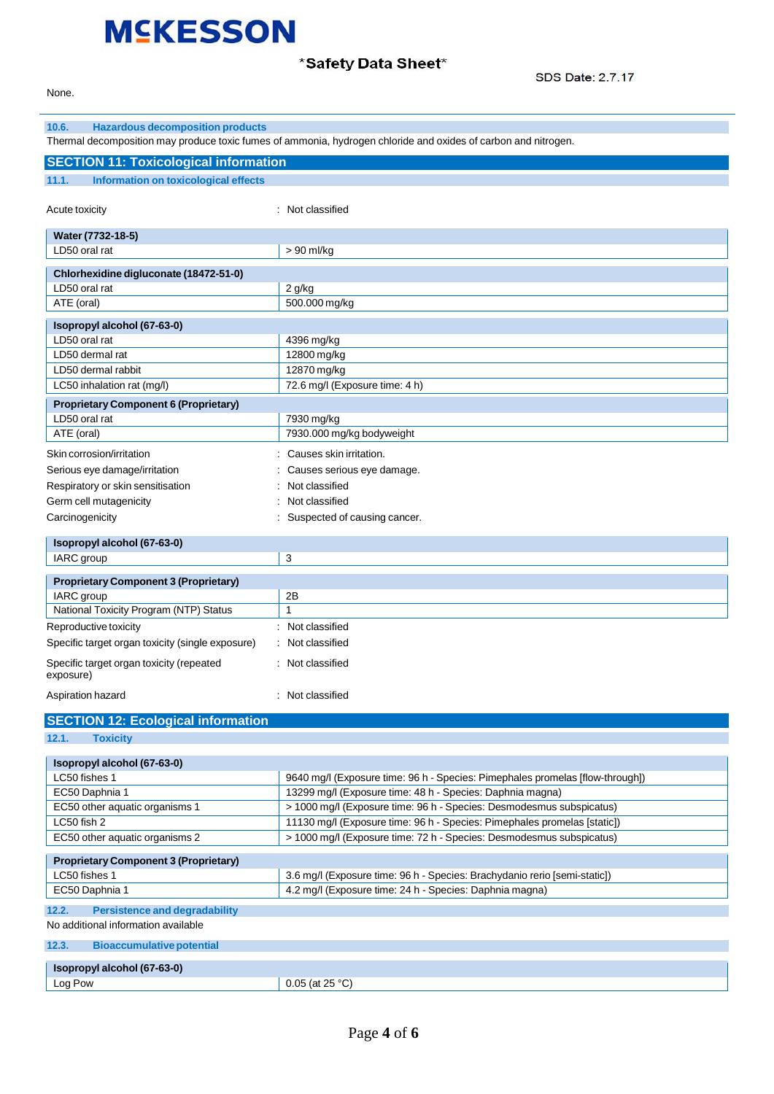### \*Safety Data Sheet\*

SDS Date: 2.7.17

None.

| 10.6.<br><b>Hazardous decomposition products</b>                                     |                                                                                                                |
|--------------------------------------------------------------------------------------|----------------------------------------------------------------------------------------------------------------|
|                                                                                      | Thermal decomposition may produce toxic fumes of ammonia, hydrogen chloride and oxides of carbon and nitrogen. |
| <b>SECTION 11: Toxicological information</b>                                         |                                                                                                                |
| <b>Information on toxicological effects</b><br>11.1.                                 |                                                                                                                |
|                                                                                      |                                                                                                                |
| Acute toxicity                                                                       | : Not classified                                                                                               |
| Water (7732-18-5)                                                                    |                                                                                                                |
| LD50 oral rat                                                                        | > 90 ml/kg                                                                                                     |
|                                                                                      |                                                                                                                |
| Chlorhexidine digluconate (18472-51-0)<br>LD50 oral rat                              |                                                                                                                |
| ATE (oral)                                                                           | 2 g/kg<br>500.000 mg/kg                                                                                        |
|                                                                                      |                                                                                                                |
| Isopropyl alcohol (67-63-0)                                                          |                                                                                                                |
| LD50 oral rat<br>LD50 dermal rat                                                     | 4396 mg/kg<br>12800 mg/kg                                                                                      |
| LD50 dermal rabbit                                                                   |                                                                                                                |
| LC50 inhalation rat (mg/l)                                                           | 12870 mg/kg<br>72.6 mg/l (Exposure time: 4 h)                                                                  |
|                                                                                      |                                                                                                                |
| <b>Proprietary Component 6 (Proprietary)</b><br>LD50 oral rat                        | 7930 mg/kg                                                                                                     |
| ATE (oral)                                                                           | 7930.000 mg/kg bodyweight                                                                                      |
|                                                                                      |                                                                                                                |
| Skin corrosion/irritation                                                            | Causes skin irritation.                                                                                        |
| Serious eye damage/irritation                                                        | Causes serious eye damage.                                                                                     |
| Respiratory or skin sensitisation                                                    | Not classified                                                                                                 |
| Germ cell mutagenicity                                                               | Not classified                                                                                                 |
| Carcinogenicity                                                                      | Suspected of causing cancer.                                                                                   |
| Isopropyl alcohol (67-63-0)                                                          |                                                                                                                |
| IARC group                                                                           | 3                                                                                                              |
| <b>Proprietary Component 3 (Proprietary)</b>                                         |                                                                                                                |
| IARC group                                                                           | 2B                                                                                                             |
| National Toxicity Program (NTP) Status                                               | $\mathbf{1}$                                                                                                   |
| Reproductive toxicity                                                                | Not classified                                                                                                 |
| Specific target organ toxicity (single exposure)                                     | Not classified                                                                                                 |
| Specific target organ toxicity (repeated                                             | : Not classified                                                                                               |
| exposure)                                                                            |                                                                                                                |
| Aspiration hazard                                                                    | : Not classified                                                                                               |
|                                                                                      |                                                                                                                |
| <b>SECTION 12: Ecological information</b>                                            |                                                                                                                |
| 12.1.<br><b>Toxicity</b>                                                             |                                                                                                                |
| Isopropyl alcohol (67-63-0)                                                          |                                                                                                                |
| LC50 fishes 1                                                                        | 9640 mg/l (Exposure time: 96 h - Species: Pimephales promelas [flow-through])                                  |
| EC50 Daphnia 1                                                                       | 13299 mg/l (Exposure time: 48 h - Species: Daphnia magna)                                                      |
| EC50 other aquatic organisms 1                                                       | > 1000 mg/l (Exposure time: 96 h - Species: Desmodesmus subspicatus)                                           |
| LC50 fish 2                                                                          | 11130 mg/l (Exposure time: 96 h - Species: Pimephales promelas [static])                                       |
| EC50 other aquatic organisms 2                                                       | > 1000 mg/l (Exposure time: 72 h - Species: Desmodesmus subspicatus)                                           |
|                                                                                      |                                                                                                                |
| <b>Proprietary Component 3 (Proprietary)</b><br>LC50 fishes 1                        | 3.6 mg/l (Exposure time: 96 h - Species: Brachydanio rerio [semi-static])                                      |
| EC50 Daphnia 1                                                                       | 4.2 mg/l (Exposure time: 24 h - Species: Daphnia magna)                                                        |
|                                                                                      |                                                                                                                |
| 12.2.<br><b>Persistence and degradability</b><br>No additional information available |                                                                                                                |
|                                                                                      |                                                                                                                |
| 12.3.<br><b>Bioaccumulative potential</b>                                            |                                                                                                                |
| Isopropyl alcohol (67-63-0)                                                          |                                                                                                                |
| Log Pow                                                                              | $0.05$ (at 25 °C)                                                                                              |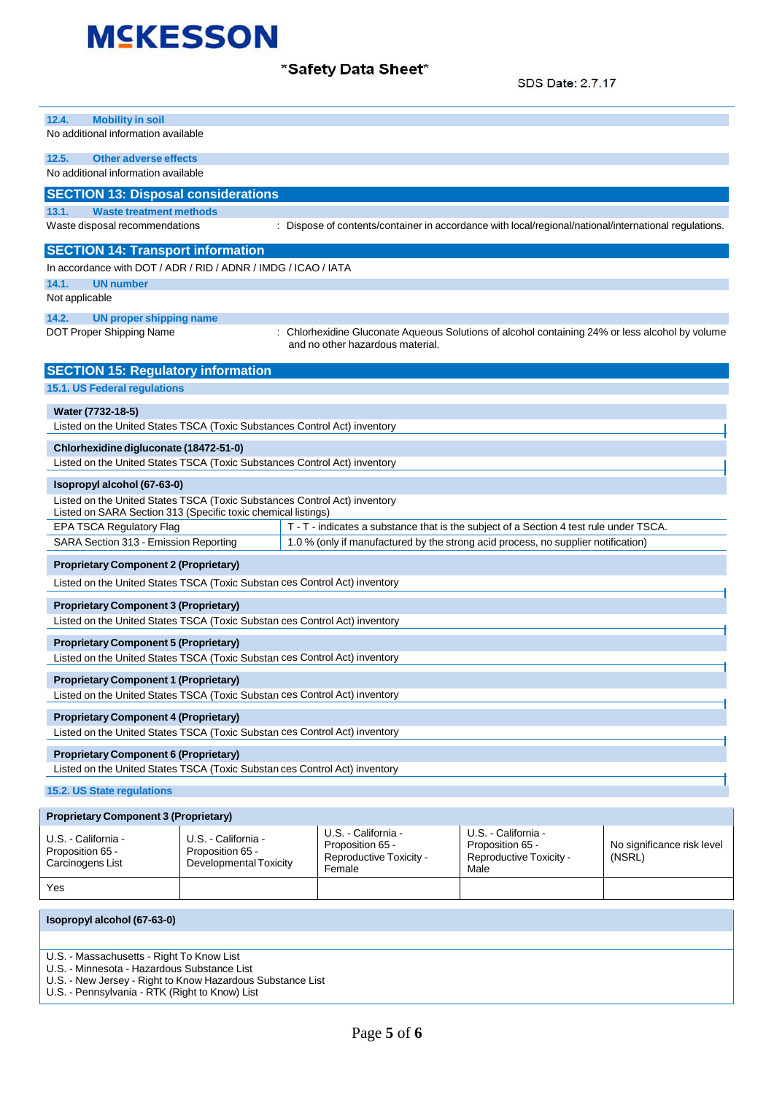\*Safety Data Sheet\*

SDS Date: 2.7.17

| 12.4.<br><b>Mobility in soil</b><br>No additional information available                                                                                                   |                                                                   |                                                                                                                                   |                                                                            |                                      |
|---------------------------------------------------------------------------------------------------------------------------------------------------------------------------|-------------------------------------------------------------------|-----------------------------------------------------------------------------------------------------------------------------------|----------------------------------------------------------------------------|--------------------------------------|
| 12.5.<br><b>Other adverse effects</b><br>No additional information available                                                                                              |                                                                   |                                                                                                                                   |                                                                            |                                      |
| <b>SECTION 13: Disposal considerations</b>                                                                                                                                |                                                                   |                                                                                                                                   |                                                                            |                                      |
| <b>Waste treatment methods</b><br>13.1.<br>Waste disposal recommendations                                                                                                 |                                                                   | : Dispose of contents/container in accordance with local/regional/national/international regulations.                             |                                                                            |                                      |
| <b>SECTION 14: Transport information</b>                                                                                                                                  |                                                                   |                                                                                                                                   |                                                                            |                                      |
| In accordance with DOT / ADR / RID / ADNR / IMDG / ICAO / IATA                                                                                                            |                                                                   |                                                                                                                                   |                                                                            |                                      |
| 14.1.<br><b>UN number</b>                                                                                                                                                 |                                                                   |                                                                                                                                   |                                                                            |                                      |
| Not applicable                                                                                                                                                            |                                                                   |                                                                                                                                   |                                                                            |                                      |
| 14.2.<br><b>UN proper shipping name</b><br>DOT Proper Shipping Name                                                                                                       |                                                                   | Chlorhexidine Gluconate Aqueous Solutions of alcohol containing 24% or less alcohol by volume<br>and no other hazardous material. |                                                                            |                                      |
| <b>SECTION 15: Regulatory information</b>                                                                                                                                 |                                                                   |                                                                                                                                   |                                                                            |                                      |
| 15.1. US Federal regulations                                                                                                                                              |                                                                   |                                                                                                                                   |                                                                            |                                      |
| Water (7732-18-5)<br>Listed on the United States TSCA (Toxic Substances Control Act) inventory                                                                            |                                                                   |                                                                                                                                   |                                                                            |                                      |
| Chlorhexidine digluconate (18472-51-0)                                                                                                                                    |                                                                   |                                                                                                                                   |                                                                            |                                      |
| Listed on the United States TSCA (Toxic Substances Control Act) inventory                                                                                                 |                                                                   |                                                                                                                                   |                                                                            |                                      |
| Isopropyl alcohol (67-63-0)<br>Listed on the United States TSCA (Toxic Substances Control Act) inventory<br>Listed on SARA Section 313 (Specific toxic chemical listings) |                                                                   |                                                                                                                                   |                                                                            |                                      |
| <b>EPA TSCA Regulatory Flag</b>                                                                                                                                           |                                                                   | T - T - indicates a substance that is the subject of a Section 4 test rule under TSCA.                                            |                                                                            |                                      |
| SARA Section 313 - Emission Reporting                                                                                                                                     |                                                                   | 1.0 % (only if manufactured by the strong acid process, no supplier notification)                                                 |                                                                            |                                      |
| <b>Proprietary Component 2 (Proprietary)</b>                                                                                                                              |                                                                   |                                                                                                                                   |                                                                            |                                      |
| Listed on the United States TSCA (Toxic Substan ces Control Act) inventory                                                                                                |                                                                   |                                                                                                                                   |                                                                            |                                      |
| <b>Proprietary Component 3 (Proprietary)</b><br>Listed on the United States TSCA (Toxic Substan ces Control Act) inventory                                                |                                                                   |                                                                                                                                   |                                                                            |                                      |
| <b>Proprietary Component 5 (Proprietary)</b>                                                                                                                              |                                                                   |                                                                                                                                   |                                                                            |                                      |
| Listed on the United States TSCA (Toxic Substan ces Control Act) inventory                                                                                                |                                                                   |                                                                                                                                   |                                                                            |                                      |
| <b>Proprietary Component 1 (Proprietary)</b><br>Listed on the United States TSCA (Toxic Substan ces Control Act) inventory                                                |                                                                   |                                                                                                                                   |                                                                            |                                      |
| <b>Proprietary Component 4 (Proprietary)</b><br>Listed on the United States TSCA (Toxic Substan ces Control Act) inventory                                                |                                                                   |                                                                                                                                   |                                                                            |                                      |
| <b>Proprietary Component 6 (Proprietary)</b><br>Listed on the United States TSCA (Toxic Substan ces Control Act) inventory                                                |                                                                   |                                                                                                                                   |                                                                            |                                      |
| 15.2. US State regulations                                                                                                                                                |                                                                   |                                                                                                                                   |                                                                            |                                      |
| <b>Proprietary Component 3 (Proprietary)</b>                                                                                                                              |                                                                   |                                                                                                                                   |                                                                            |                                      |
| U.S. - California -<br>Proposition 65 -<br>Carcinogens List                                                                                                               | U.S. - California -<br>Proposition 65 -<br>Developmental Toxicity | U.S. - California -<br>Proposition 65 -<br>Reproductive Toxicity -<br>Female                                                      | U.S. - California -<br>Proposition 65 -<br>Reproductive Toxicity -<br>Male | No significance risk level<br>(NSRL) |
| Yes                                                                                                                                                                       |                                                                   |                                                                                                                                   |                                                                            |                                      |
| Isopropyl alcohol (67-63-0)                                                                                                                                               |                                                                   |                                                                                                                                   |                                                                            |                                      |

U.S. - Massachusetts - Right To Know List

U.S. - Minnesota - Hazardous Substance List

U.S. - New Jersey - Right to Know Hazardous Substance List

U.S. - Pennsylvania - RTK (Right to Know) List